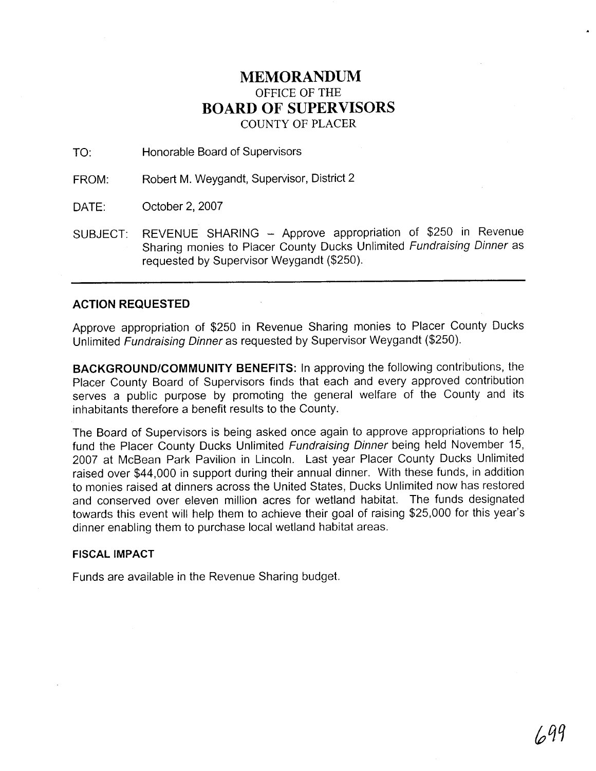## **MEMORANDUM**  OFFICE OF THE **BOARD OF SUPERVISORS**  COUNTY OF PLACER

TO: Honorable Board of Supervisors

FROM: Robert M. Weygandt, Supervisor, District 2

DATE: October 2, 2007

SUBJECT: REVENUE SHARING - Approve appropriation of \$250 in Revenue Sharing monies to Placer County Ducks Unlimited Fundraising Dinner as requested by Supervisor Weygandt (\$250).

## **ACTION REQUESTED**

Approve appropriation of \$250 in Revenue Sharing monies to Placer County Ducks Unlimited Fundraising Dinner as requested by Supervisor Weygandt (\$250).

**BACKGROUNDICOMMUNITY BENEFITS:** In approving the following contributions, the Placer County Board of Supervisors finds that each and every approved contribution serves a public purpose by promoting the general welfare of the County and its inhabitants therefore a benefit results to the County.

The Board of Supervisors is being asked once again to approve appropriations to help fund the Placer County Ducks Unlimited Fundraising Dinner being held November 15, 2007 at McBean Park Pavilion in Lincoln. Last year Placer County Ducks Unlimited raised over \$44,000 in support during their annual dinner. With these funds, in addition to monies raised at dinners across the United States, Ducks Unlimited now has restored and conserved over eleven million acres for wetland habitat. The funds designated towards this event will help them to achieve their goal of raising \$25,000 for this year's dinner enabling them to purchase local wetland habitat areas.

## **FISCAL IMPACT**

Funds are available in the Revenue Sharing budget.